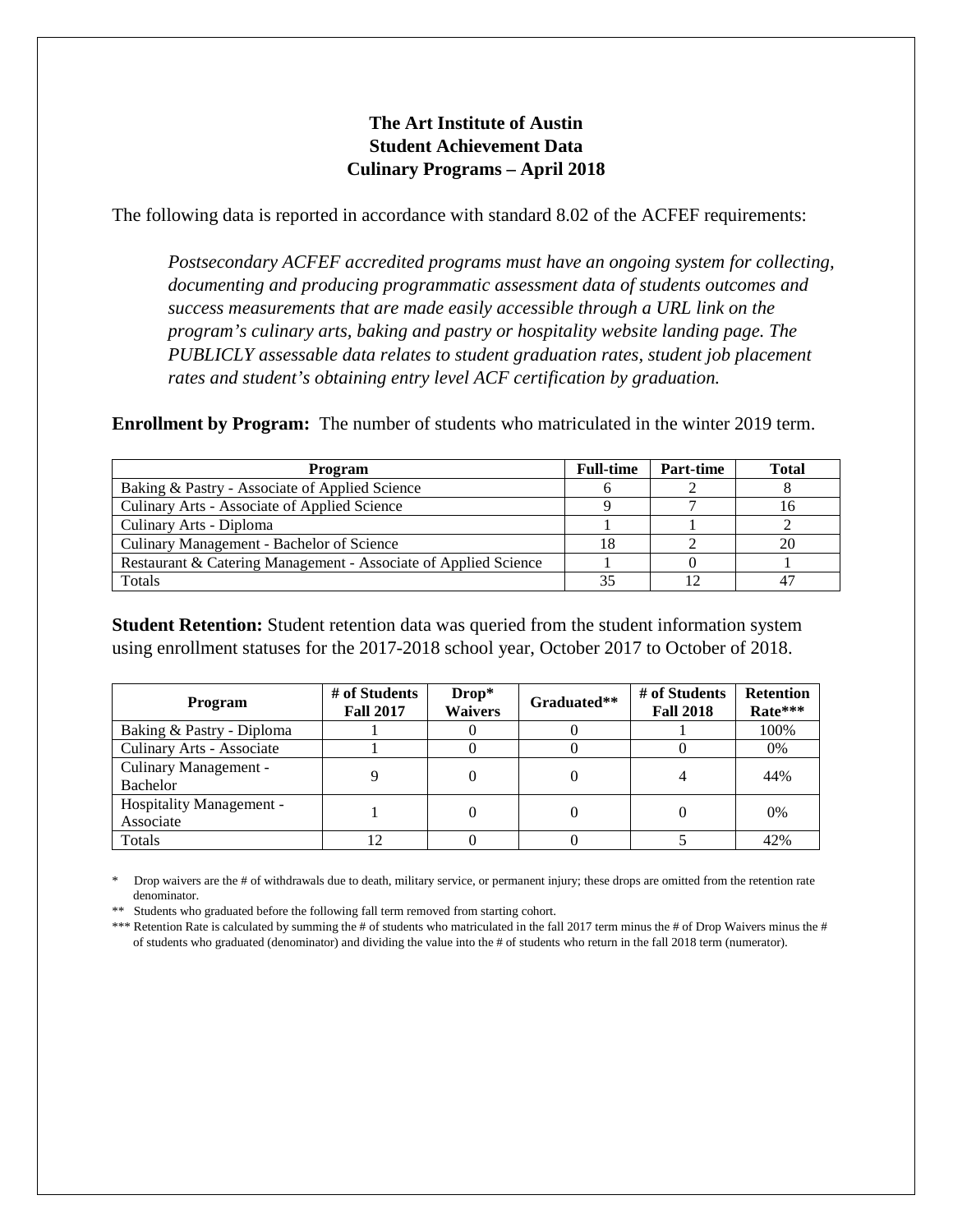## **The Art Institute of Austin Student Achievement Data Culinary Programs – April 2018**

The following data is reported in accordance with standard 8.02 of the ACFEF requirements:

*Postsecondary ACFEF accredited programs must have an ongoing system for collecting, documenting and producing programmatic assessment data of students outcomes and success measurements that are made easily accessible through a URL link on the program's culinary arts, baking and pastry or hospitality website landing page. The PUBLICLY assessable data relates to student graduation rates, student job placement rates and student's obtaining entry level ACF certification by graduation.*

**Enrollment by Program:** The number of students who matriculated in the winter 2019 term.

| Program                                                         |  | Part-time | <b>Total</b> |
|-----------------------------------------------------------------|--|-----------|--------------|
| Baking & Pastry - Associate of Applied Science                  |  |           |              |
| Culinary Arts - Associate of Applied Science                    |  |           |              |
| Culinary Arts - Diploma                                         |  |           |              |
| Culinary Management - Bachelor of Science                       |  |           | 20           |
| Restaurant & Catering Management - Associate of Applied Science |  |           |              |
| Totals                                                          |  |           |              |

**Student Retention:** Student retention data was queried from the student information system using enrollment statuses for the 2017-2018 school year, October 2017 to October of 2018.

| Program                               | # of Students<br><b>Fall 2017</b> | Drop*<br><b>Waivers</b> | Graduated** | # of Students<br><b>Fall 2018</b> | <b>Retention</b><br>Rate*** |
|---------------------------------------|-----------------------------------|-------------------------|-------------|-----------------------------------|-----------------------------|
| Baking & Pastry - Diploma             |                                   |                         |             |                                   | 100%                        |
| Culinary Arts - Associate             |                                   |                         |             |                                   | $0\%$                       |
| Culinary Management -<br>Bachelor     |                                   |                         |             |                                   | 44%                         |
| Hospitality Management -<br>Associate |                                   |                         |             |                                   | 0%                          |
| Totals                                |                                   |                         |             |                                   | 42%                         |

\* Drop waivers are the # of withdrawals due to death, military service, or permanent injury; these drops are omitted from the retention rate denominator.

\*\* Students who graduated before the following fall term removed from starting cohort.

\*\*\* Retention Rate is calculated by summing the # of students who matriculated in the fall 2017 term minus the # of Drop Waivers minus the # of students who graduated (denominator) and dividing the value into the # of students who return in the fall 2018 term (numerator).